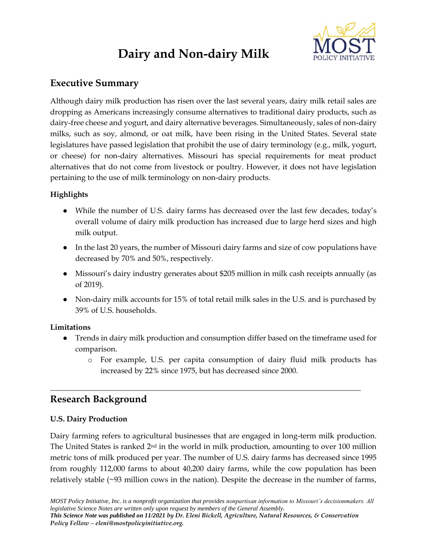# **Dairy and Non-dairy Milk**



# **Executive Summary**

Although dairy milk production has risen over the last several years, dairy milk retail sales are dropping as Americans increasingly consume alternatives to traditional dairy products, such as dairy-free cheese and yogurt, and dairy alternative beverages. Simultaneously, sales of non-dairy milks, such as soy, almond, or oat milk, have been rising in the United States. Several state legislatures have passed legislation that prohibit the use of dairy terminology (e.g., milk, yogurt, or cheese) for non-dairy alternatives. Missouri has special requirements for meat product alternatives that do not come from livestock or poultry. However, it does not have legislation pertaining to the use of milk terminology on non-dairy products.

#### **Highlights**

- While the number of U.S. dairy farms has decreased over the last few decades, today's overall volume of dairy milk production has increased due to large herd sizes and high milk output.
- In the last 20 years, the number of Missouri dairy farms and size of cow populations have decreased by 70% and 50%, respectively.
- Missouri's dairy industry generates about \$205 million in milk cash receipts annually (as of 2019).
- Non-dairy milk accounts for 15% of total retail milk sales in the U.S. and is purchased by 39% of U.S. households.

#### **Limitations**

- Trends in dairy milk production and consumption differ based on the timeframe used for comparison.
	- o For example, U.S. per capita consumption of dairy fluid milk products has increased by 22% since 1975, but has decreased since 2000.

# **Research Background**

### **U.S. Dairy Production**

Dairy farming refers to agricultural businesses that are engaged in long-term milk production. The United States is ranked 2nd in the world in milk production, amounting to over 100 million metric tons of milk produced per year. The number of U.S. dairy farms has decreased since 1995 from roughly 112,000 farms to about 40,200 dairy farms, while the cow population has been relatively stable (~93 million cows in the nation). Despite the decrease in the number of farms,

**\_\_\_\_\_\_\_\_\_\_\_\_\_\_\_\_\_\_\_\_\_\_\_\_\_\_\_\_\_\_\_\_\_\_\_\_\_\_\_\_\_\_\_\_\_\_\_\_\_\_\_\_\_\_\_\_\_\_\_\_\_\_\_\_\_\_\_\_\_\_\_\_\_\_\_\_\_\_\_\_\_**

*MOST Policy Initiative, Inc. is a nonprofit organization that provides nonpartisan information to Missouri's decisionmakers. All legislative Science Notes are written only upon request by members of the General Assembly. This Science Note was published on 11/2021 by Dr. Eleni Bickell, Agriculture, Natural Resources, & Conservation Policy Fellow – eleni@mostpolicyinitiative.org.*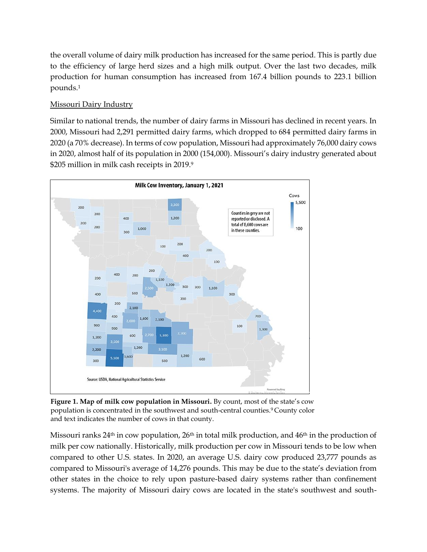the overall volume of dairy milk production has increased for the same period. This is partly due to the efficiency of large herd sizes and a high milk output. Over the last two decades, milk production for human consumption has increased from 167.4 billion pounds to 223.1 billion pounds.<sup>1</sup>

### Missouri Dairy Industry

Similar to national trends, the number of dairy farms in Missouri has declined in recent years. In 2000, Missouri had 2,291 permitted dairy farms, which dropped to 684 permitted dairy farms in 2020 (a 70% decrease). In terms of cow population, Missouri had approximately 76,000 dairy cows in 2020, almost half of its population in 2000 (154,000). Missouri's dairy industry generated about \$205 million in milk cash receipts in 2019.9



**Figure 1***in the southwest and south-central counties.* **. Map of milk cow population in Missouri.** By count, most of the state's cow population is concentrated in the southwest and south-central counties.<sup>9</sup> County color and text indicates the number of cows in that county.

Missouri ranks 24<sup>th</sup> in cow population, 26<sup>th</sup> in total milk production, and 46<sup>th</sup> in the production of milk per cow nationally. Historically, milk production per cow in Missouri tends to be low when compared to other U.S. states. In 2020, an average U.S. dairy cow produced 23,777 pounds as compared to Missouri's average of 14,276 pounds. This may be due to the state's deviation from other states in the choice to rely upon pasture-based dairy systems rather than confinement systems. The majority of Missouri dairy cows are located in the state's southwest and south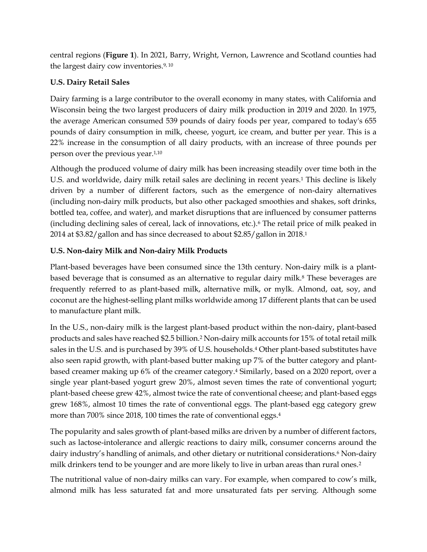central regions (**Figure 1**). In 2021, Barry, Wright, Vernon, Lawrence and Scotland counties had the largest dairy cow inventories.<sup>9, 10</sup>

## **U.S. Dairy Retail Sales**

Dairy farming is a large contributor to the overall economy in many states, with California and Wisconsin being the two largest producers of dairy milk production in 2019 and 2020. In 1975, the average American consumed 539 pounds of dairy foods per year, compared to today's 655 pounds of dairy consumption in milk, cheese, yogurt, ice cream, and butter per year. This is a 22% increase in the consumption of all dairy products, with an increase of three pounds per person over the previous year.1,10

Although the produced volume of dairy milk has been increasing steadily over time both in the U.S. and worldwide, dairy milk retail sales are declining in recent years.<sup>1</sup> This decline is likely driven by a number of different factors, such as the emergence of non-dairy alternatives (including non-dairy milk products, but also other packaged smoothies and shakes, soft drinks, bottled tea, coffee, and water), and market disruptions that are influenced by consumer patterns (including declining sales of cereal, lack of innovations, etc.).<sup>6</sup> The retail price of milk peaked in 2014 at \$3.82/gallon and has since decreased to about \$2.85/gallon in 2018.<sup>1</sup>

## **U.S. Non-dairy Milk and Non-dairy Milk Products**

Plant-based beverages have been consumed since the 13th century. Non-dairy milk is a plantbased beverage that is consumed as an alternative to regular dairy milk.<sup>8</sup> These beverages are frequently referred to as plant-based milk, alternative milk, or mylk. Almond, oat, soy, and coconut are the highest-selling plant milks worldwide among 17 different plants that can be used to manufacture plant milk.

In the U.S., non-dairy milk is the largest plant-based product within the non-dairy, plant-based products and sales have reached \$2.5 billion.<sup>2</sup> Non-dairy milk accounts for 15% of total retail milk sales in the U.S. and is purchased by 39% of U.S. households.<sup>4</sup> Other plant-based substitutes have also seen rapid growth, with plant-based butter making up 7% of the butter category and plantbased creamer making up 6% of the creamer category.<sup>4</sup> Similarly, based on a 2020 report, over a single year plant-based yogurt grew 20%, almost seven times the rate of conventional yogurt; plant-based cheese grew 42%, almost twice the rate of conventional cheese; and plant-based eggs grew 168%, almost 10 times the rate of conventional eggs. The plant-based egg category grew more than 700% since 2018, 100 times the rate of conventional eggs.<sup>4</sup>

The popularity and sales growth of plant-based milks are driven by a number of different factors, such as lactose-intolerance and allergic reactions to dairy milk, consumer concerns around the dairy industry's handling of animals, and other dietary or nutritional considerations.<sup>6</sup> Non-dairy milk drinkers tend to be younger and are more likely to live in urban areas than rural ones.<sup>2</sup>

The nutritional value of non-dairy milks can vary. For example, when compared to cow's milk, almond milk has less saturated fat and more unsaturated fats per serving. Although some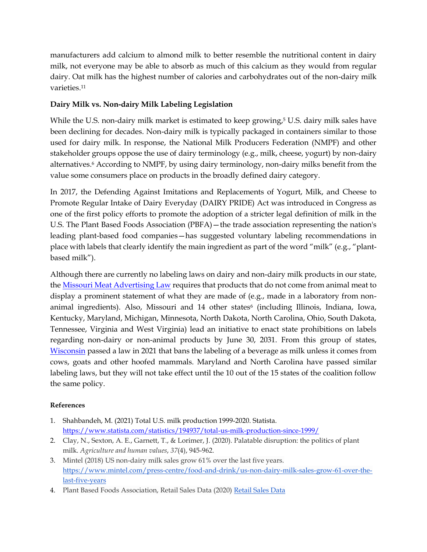manufacturers add calcium to almond milk to better resemble the nutritional content in dairy milk, not everyone may be able to absorb as much of this calcium as they would from regular dairy. Oat milk has the highest number of calories and carbohydrates out of the non-dairy milk varieties.<sup>11</sup>

### **Dairy Milk vs. Non-dairy Milk Labeling Legislation**

While the U.S. non-dairy milk market is estimated to keep growing, $5 \text{ U.S.}$  dairy milk sales have been declining for decades. Non-dairy milk is typically packaged in containers similar to those used for dairy milk. In response, the National Milk Producers Federation (NMPF) and other stakeholder groups oppose the use of dairy terminology (e.g., milk, cheese, yogurt) by non-dairy alternatives.<sup>6</sup> According to NMPF, by using dairy terminology, non-dairy milks benefit from the value some consumers place on products in the broadly defined dairy category.

In 2017, the Defending Against Imitations and Replacements of Yogurt, Milk, and Cheese to Promote Regular Intake of Dairy Everyday (DAIRY PRIDE) Act was introduced in Congress as one of the first policy efforts to promote the adoption of a stricter legal definition of milk in the U.S. The Plant Based Foods Association (PBFA)—the trade association representing the nation's leading plant-based food companies—has suggested voluntary labeling recommendations in place with labels that clearly identify the main ingredient as part of the word "milk" (e.g., "plantbased milk").

Although there are currently no labeling laws on dairy and non-dairy milk products in our state, the [Missouri Meat Advertising Law](https://agriculture.mo.gov/animals/meat.php) requires that products that do not come from animal meat to display a prominent statement of what they are made of (e.g., made in a laboratory from nonanimal ingredients). Also, Missouri and 14 other states<sup>6</sup> (including Illinois, Indiana, Iowa, Kentucky, Maryland, Michigan, Minnesota, North Dakota, North Carolina, Ohio, South Dakota, Tennessee, Virginia and West Virginia) lead an initiative to enact state prohibitions on labels regarding non-dairy or non-animal products by June 30, 2031. From this group of states, [Wisconsin](https://docs.legis.wisconsin.gov/2021/proposals/ab74) passed a law in 2021 that bans the labeling of a beverage as milk unless it comes from cows, goats and other hoofed mammals. Maryland and North Carolina have passed similar labeling laws, but they will not take effect until the 10 out of the 15 states of the coalition follow the same policy.

#### **References**

- 1. Shahbandeh, M. (2021) Total U.S. milk production 1999-2020. Statista. <https://www.statista.com/statistics/194937/total-us-milk-production-since-1999/>
- 2. Clay, N., Sexton, A. E., Garnett, T., & Lorimer, J. (2020). Palatable disruption: the politics of plant milk. *Agriculture and human values*, *37*(4), 945-962.
- 3. Mintel (2018) US non-dairy milk sales grow 61% over the last five years. [https://www.mintel.com/press-centre/food-and-drink/us-non-dairy-milk-sales-grow-61-over-the](https://www.mintel.com/press-centre/food-and-drink/us-non-dairy-milk-sales-grow-61-over-the-last-five-years)[last-five-years](https://www.mintel.com/press-centre/food-and-drink/us-non-dairy-milk-sales-grow-61-over-the-last-five-years)
- 4. Plant Based Foods Association, Retail Sales Data (2020) [Retail Sales Data](https://www.plantbasedfoods.org/retail-sales-data/)